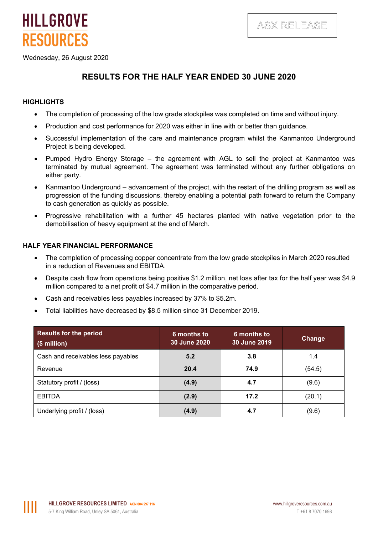

Wednesday, 26 August 2020

**HILLGROVE** 

**RESOURCES** 

## **RESULTS FOR THE HALF YEAR ENDED 30 JUNE 2020**

### **HIGHLIGHTS**

- The completion of processing of the low grade stockpiles was completed on time and without injury.
- Production and cost performance for 2020 was either in line with or better than guidance.
- Successful implementation of the care and maintenance program whilst the Kanmantoo Underground Project is being developed.
- Pumped Hydro Energy Storage the agreement with AGL to sell the project at Kanmantoo was terminated by mutual agreement. The agreement was terminated without any further obligations on either party.
- Kanmantoo Underground advancement of the project, with the restart of the drilling program as well as progression of the funding discussions, thereby enabling a potential path forward to return the Company to cash generation as quickly as possible.
- Progressive rehabilitation with a further 45 hectares planted with native vegetation prior to the demobilisation of heavy equipment at the end of March.

### **HALF YEAR FINANCIAL PERFORMANCE**

- The completion of processing copper concentrate from the low grade stockpiles in March 2020 resulted in a reduction of Revenues and EBITDA.
- Despite cash flow from operations being positive \$1.2 million, net loss after tax for the half year was \$4.9 million compared to a net profit of \$4.7 million in the comparative period.
- Cash and receivables less payables increased by 37% to \$5.2m.
- Total liabilities have decreased by \$8.5 million since 31 December 2019.

| <b>Results for the period</b><br>$(\$$ million) | 6 months to<br>30 June 2020 | 6 months to<br>30 June 2019 | Change |
|-------------------------------------------------|-----------------------------|-----------------------------|--------|
| Cash and receivables less payables              | 5.2                         | 3.8                         | 1.4    |
| Revenue                                         | 20.4                        | 74.9                        | (54.5) |
| Statutory profit / (loss)                       | (4.9)                       | 4.7                         | (9.6)  |
| <b>EBITDA</b>                                   | (2.9)                       | 17.2                        | (20.1) |
| Underlying profit / (loss)                      | (4.9)                       | 4.7                         | (9.6)  |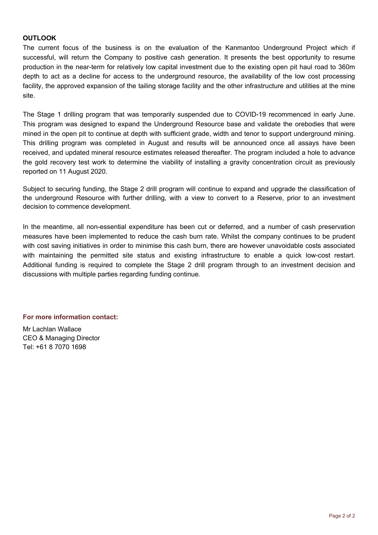### **OUTLOOK**

The current focus of the business is on the evaluation of the Kanmantoo Underground Project which if successful, will return the Company to positive cash generation. It presents the best opportunity to resume production in the near-term for relatively low capital investment due to the existing open pit haul road to 360m depth to act as a decline for access to the underground resource, the availability of the low cost processing facility, the approved expansion of the tailing storage facility and the other infrastructure and utilities at the mine site.

The Stage 1 drilling program that was temporarily suspended due to COVID-19 recommenced in early June. This program was designed to expand the Underground Resource base and validate the orebodies that were mined in the open pit to continue at depth with sufficient grade, width and tenor to support underground mining. This drilling program was completed in August and results will be announced once all assays have been received, and updated mineral resource estimates released thereafter. The program included a hole to advance the gold recovery test work to determine the viability of installing a gravity concentration circuit as previously reported on 11 August 2020.

Subject to securing funding, the Stage 2 drill program will continue to expand and upgrade the classification of the underground Resource with further drilling, with a view to convert to a Reserve, prior to an investment decision to commence development.

In the meantime, all non-essential expenditure has been cut or deferred, and a number of cash preservation measures have been implemented to reduce the cash burn rate. Whilst the company continues to be prudent with cost saving initiatives in order to minimise this cash burn, there are however unavoidable costs associated with maintaining the permitted site status and existing infrastructure to enable a quick low-cost restart. Additional funding is required to complete the Stage 2 drill program through to an investment decision and discussions with multiple parties regarding funding continue.

### **For more information contact:**

Mr Lachlan Wallace CEO & Managing Director Tel: +61 8 7070 1698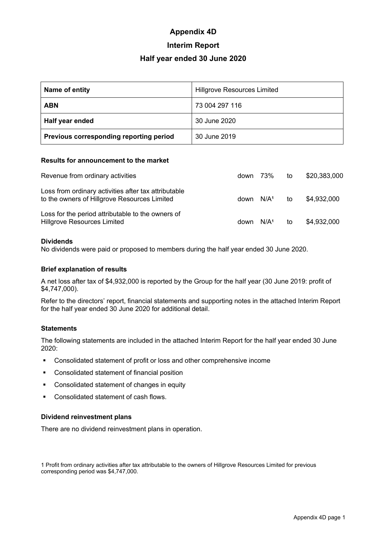# **Appendix 4D**

## **Interim Report**

### **Half year ended 30 June 2020**

| Name of entity                          | <b>Hillgrove Resources Limited</b> |
|-----------------------------------------|------------------------------------|
| <b>ABN</b>                              | 73 004 297 116                     |
| Half year ended                         | 30 June 2020                       |
| Previous corresponding reporting period | 30 June 2019                       |

### **Results for announcement to the market**

| Revenue from ordinary activities                                                                     | down 73%              |                  | to | \$20,383,000 |
|------------------------------------------------------------------------------------------------------|-----------------------|------------------|----|--------------|
| Loss from ordinary activities after tax attributable<br>to the owners of Hillgrove Resources Limited | down N/A <sup>1</sup> |                  | to | \$4,932,000  |
| Loss for the period attributable to the owners of<br><b>Hillgrove Resources Limited</b>              | down                  | N/A <sup>1</sup> | to | \$4,932,000  |

### **Dividends**

No dividends were paid or proposed to members during the half year ended 30 June 2020.

### **Brief explanation of results**

A net loss after tax of \$4,932,000 is reported by the Group for the half year (30 June 2019: profit of \$4,747,000).

Refer to the directors' report, financial statements and supporting notes in the attached Interim Report for the half year ended 30 June 2020 for additional detail.

### **Statements**

The following statements are included in the attached Interim Report for the half year ended 30 June 2020:

- Consolidated statement of profit or loss and other comprehensive income
- Consolidated statement of financial position
- Consolidated statement of changes in equity
- **Consolidated statement of cash flows.**

### **Dividend reinvestment plans**

There are no dividend reinvestment plans in operation.

1 Profit from ordinary activities after tax attributable to the owners of Hillgrove Resources Limited for previous corresponding period was \$4,747,000.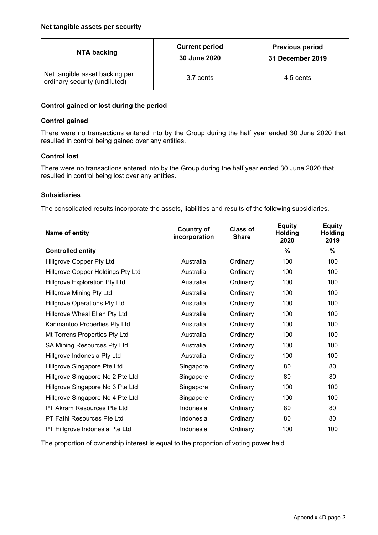| NTA backing                                                     | <b>Current period</b><br>30 June 2020 | <b>Previous period</b><br>31 December 2019 |  |
|-----------------------------------------------------------------|---------------------------------------|--------------------------------------------|--|
| Net tangible asset backing per<br>ordinary security (undiluted) | 3.7 cents                             | 4.5 cents                                  |  |

### **Control gained or lost during the period**

### **Control gained**

There were no transactions entered into by the Group during the half year ended 30 June 2020 that resulted in control being gained over any entities.

### **Control lost**

There were no transactions entered into by the Group during the half year ended 30 June 2020 that resulted in control being lost over any entities.

### **Subsidiaries**

The consolidated results incorporate the assets, liabilities and results of the following subsidiaries.

| Name of entity                       | <b>Country of</b><br>incorporation | Class of<br><b>Share</b> | <b>Equity</b><br><b>Holding</b><br>2020 | <b>Equity</b><br><b>Holding</b><br>2019 |
|--------------------------------------|------------------------------------|--------------------------|-----------------------------------------|-----------------------------------------|
| <b>Controlled entity</b>             |                                    |                          | %                                       | %                                       |
| <b>Hillgrove Copper Pty Ltd</b>      | Australia                          | Ordinary                 | 100                                     | 100                                     |
| Hillgrove Copper Holdings Pty Ltd    | Australia                          | Ordinary                 | 100                                     | 100                                     |
| <b>Hillgrove Exploration Pty Ltd</b> | Australia                          | Ordinary                 | 100                                     | 100                                     |
| <b>Hillgrove Mining Pty Ltd</b>      | Australia                          | Ordinary                 | 100                                     | 100                                     |
| <b>Hillgrove Operations Pty Ltd</b>  | Australia                          | Ordinary                 | 100                                     | 100                                     |
| Hillgrove Wheal Ellen Pty Ltd        | Australia                          | Ordinary                 | 100                                     | 100                                     |
| Kanmantoo Properties Pty Ltd         | Australia                          | Ordinary                 | 100                                     | 100                                     |
| Mt Torrens Properties Pty Ltd        | Australia                          | Ordinary                 | 100                                     | 100                                     |
| SA Mining Resources Pty Ltd          | Australia                          | Ordinary                 | 100                                     | 100                                     |
| Hillgrove Indonesia Pty Ltd          | Australia                          | Ordinary                 | 100                                     | 100                                     |
| Hillgrove Singapore Pte Ltd          | Singapore                          | Ordinary                 | 80                                      | 80                                      |
| Hillgrove Singapore No 2 Pte Ltd     | Singapore                          | Ordinary                 | 80                                      | 80                                      |
| Hillgrove Singapore No 3 Pte Ltd     | Singapore                          | Ordinary                 | 100                                     | 100                                     |
| Hillgrove Singapore No 4 Pte Ltd     | Singapore                          | Ordinary                 | 100                                     | 100                                     |
| PT Akram Resources Pte Ltd           | Indonesia                          | Ordinary                 | 80                                      | 80                                      |
| PT Fathi Resources Pte Ltd           | Indonesia                          | Ordinary                 | 80                                      | 80                                      |
| PT Hillgrove Indonesia Pte Ltd       | Indonesia                          | Ordinary                 | 100                                     | 100                                     |

The proportion of ownership interest is equal to the proportion of voting power held.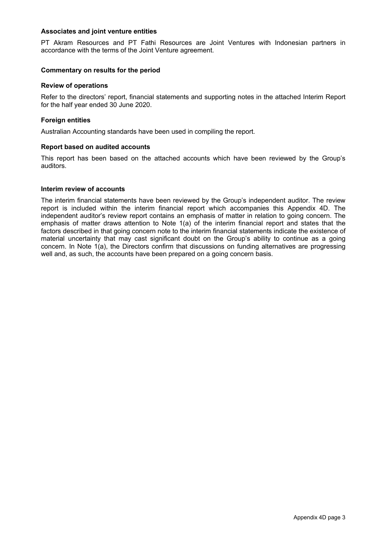### **Associates and joint venture entities**

PT Akram Resources and PT Fathi Resources are Joint Ventures with Indonesian partners in accordance with the terms of the Joint Venture agreement.

### **Commentary on results for the period**

### **Review of operations**

Refer to the directors' report, financial statements and supporting notes in the attached Interim Report for the half year ended 30 June 2020.

### **Foreign entities**

Australian Accounting standards have been used in compiling the report.

### **Report based on audited accounts**

This report has been based on the attached accounts which have been reviewed by the Group's auditors.

### **Interim review of accounts**

The interim financial statements have been reviewed by the Group's independent auditor. The review report is included within the interim financial report which accompanies this Appendix 4D. The independent auditor's review report contains an emphasis of matter in relation to going concern. The emphasis of matter draws attention to Note 1(a) of the interim financial report and states that the factors described in that going concern note to the interim financial statements indicate the existence of material uncertainty that may cast significant doubt on the Group's ability to continue as a going concern. In Note 1(a), the Directors confirm that discussions on funding alternatives are progressing well and, as such, the accounts have been prepared on a going concern basis.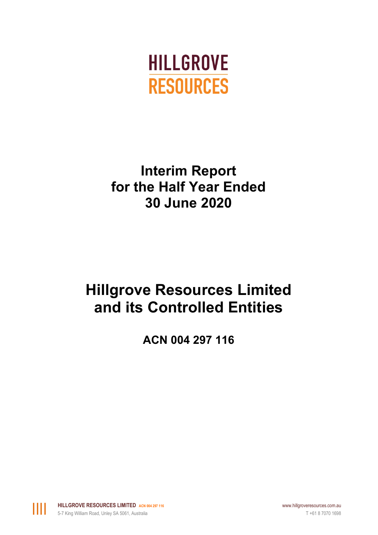

# **Interim Report for the Half Year Ended 30 June 2020**

# **Hillgrove Resources Limited and its Controlled Entities**

**ACN 004 297 116**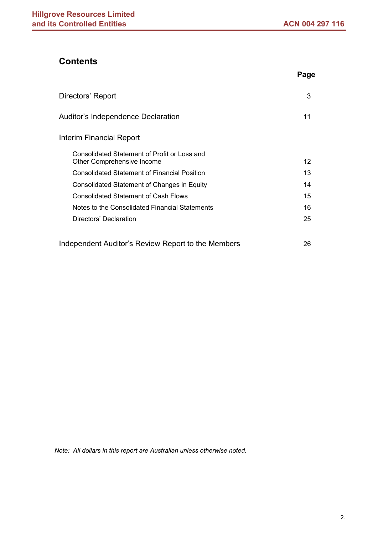# **Contents**

|                                                                            | Page |
|----------------------------------------------------------------------------|------|
| Directors' Report                                                          | 3    |
| Auditor's Independence Declaration                                         | 11   |
| Interim Financial Report                                                   |      |
| Consolidated Statement of Profit or Loss and<br>Other Comprehensive Income | 12   |
| <b>Consolidated Statement of Financial Position</b>                        | 13   |
| <b>Consolidated Statement of Changes in Equity</b>                         | 14   |
| <b>Consolidated Statement of Cash Flows</b>                                | 15   |
| Notes to the Consolidated Financial Statements                             | 16   |
| Directors' Declaration                                                     | 25   |
| Independent Auditor's Review Report to the Members                         | 26   |

*Note: All dollars in this report are Australian unless otherwise noted.*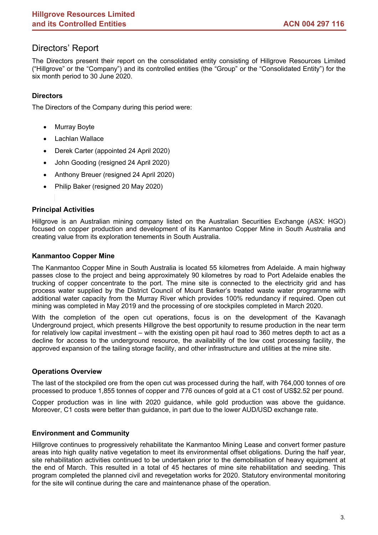# Directors' Report

The Directors present their report on the consolidated entity consisting of Hillgrove Resources Limited ("Hillgrove" or the "Company") and its controlled entities (the "Group" or the "Consolidated Entity") for the six month period to 30 June 2020.

### **Directors**

The Directors of the Company during this period were:

- **Murray Boyte**
- **Lachlan Wallace**
- Derek Carter (appointed 24 April 2020)
- John Gooding (resigned 24 April 2020)
- Anthony Breuer (resigned 24 April 2020)
- Philip Baker (resigned 20 May 2020)

### **Principal Activities**

Hillgrove is an Australian mining company listed on the Australian Securities Exchange (ASX: HGO) focused on copper production and development of its Kanmantoo Copper Mine in South Australia and creating value from its exploration tenements in South Australia.

### **Kanmantoo Copper Mine**

The Kanmantoo Copper Mine in South Australia is located 55 kilometres from Adelaide. A main highway passes close to the project and being approximately 90 kilometres by road to Port Adelaide enables the trucking of copper concentrate to the port. The mine site is connected to the electricity grid and has process water supplied by the District Council of Mount Barker's treated waste water programme with additional water capacity from the Murray River which provides 100% redundancy if required. Open cut mining was completed in May 2019 and the processing of ore stockpiles completed in March 2020.

With the completion of the open cut operations, focus is on the development of the Kavanagh Underground project, which presents Hillgrove the best opportunity to resume production in the near term for relatively low capital investment – with the existing open pit haul road to 360 metres depth to act as a decline for access to the underground resource, the availability of the low cost processing facility, the approved expansion of the tailing storage facility, and other infrastructure and utilities at the mine site.

### **Operations Overview**

The last of the stockpiled ore from the open cut was processed during the half, with 764,000 tonnes of ore processed to produce 1,855 tonnes of copper and 776 ounces of gold at a C1 cost of US\$2.52 per pound.

Copper production was in line with 2020 guidance, while gold production was above the guidance. Moreover, C1 costs were better than guidance, in part due to the lower AUD/USD exchange rate.

### **Environment and Community**

Hillgrove continues to progressively rehabilitate the Kanmantoo Mining Lease and convert former pasture areas into high quality native vegetation to meet its environmental offset obligations. During the half year, site rehabilitation activities continued to be undertaken prior to the demobilisation of heavy equipment at the end of March. This resulted in a total of 45 hectares of mine site rehabilitation and seeding. This program completed the planned civil and revegetation works for 2020. Statutory environmental monitoring for the site will continue during the care and maintenance phase of the operation.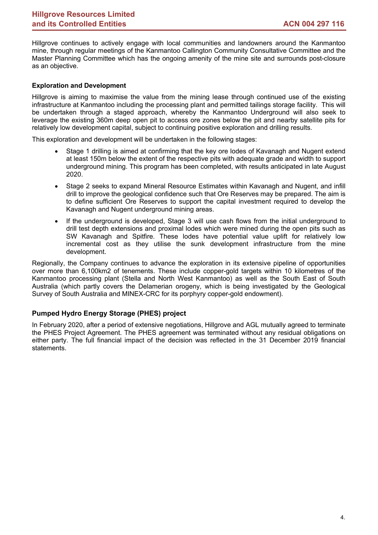Hillgrove continues to actively engage with local communities and landowners around the Kanmantoo mine, through regular meetings of the Kanmantoo Callington Community Consultative Committee and the Master Planning Committee which has the ongoing amenity of the mine site and surrounds post-closure as an objective.

### **Exploration and Development**

Hillgrove is aiming to maximise the value from the mining lease through continued use of the existing infrastructure at Kanmantoo including the processing plant and permitted tailings storage facility. This will be undertaken through a staged approach, whereby the Kanmantoo Underground will also seek to leverage the existing 360m deep open pit to access ore zones below the pit and nearby satellite pits for relatively low development capital, subject to continuing positive exploration and drilling results.

This exploration and development will be undertaken in the following stages:

- Stage 1 drilling is aimed at confirming that the key ore lodes of Kavanagh and Nugent extend at least 150m below the extent of the respective pits with adequate grade and width to support underground mining. This program has been completed, with results anticipated in late August 2020.
- Stage 2 seeks to expand Mineral Resource Estimates within Kavanagh and Nugent, and infill drill to improve the geological confidence such that Ore Reserves may be prepared. The aim is to define sufficient Ore Reserves to support the capital investment required to develop the Kavanagh and Nugent underground mining areas.
- If the underground is developed, Stage 3 will use cash flows from the initial underground to drill test depth extensions and proximal lodes which were mined during the open pits such as SW Kavanagh and Spitfire. These lodes have potential value uplift for relatively low incremental cost as they utilise the sunk development infrastructure from the mine development.

Regionally, the Company continues to advance the exploration in its extensive pipeline of opportunities over more than 6,100km2 of tenements. These include copper-gold targets within 10 kilometres of the Kanmantoo processing plant (Stella and North West Kanmantoo) as well as the South East of South Australia (which partly covers the Delamerian orogeny, which is being investigated by the Geological Survey of South Australia and MINEX-CRC for its porphyry copper-gold endowment).

### **Pumped Hydro Energy Storage (PHES) project**

In February 2020, after a period of extensive negotiations, Hillgrove and AGL mutually agreed to terminate the PHES Project Agreement. The PHES agreement was terminated without any residual obligations on either party. The full financial impact of the decision was reflected in the 31 December 2019 financial statements.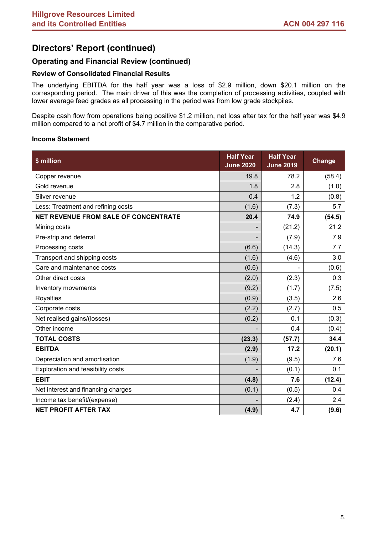# **Directors' Report (continued)**

### **Operating and Financial Review (continued)**

### **Review of Consolidated Financial Results**

The underlying EBITDA for the half year was a loss of \$2.9 million, down \$20.1 million on the corresponding period. The main driver of this was the completion of processing activities, coupled with lower average feed grades as all processing in the period was from low grade stockpiles.

Despite cash flow from operations being positive \$1.2 million, net loss after tax for the half year was \$4.9 million compared to a net profit of \$4.7 million in the comparative period.

### **Income Statement**

| \$ million                                  | <b>Half Year</b><br><b>June 2020</b> | <b>Half Year</b><br><b>June 2019</b> | Change |
|---------------------------------------------|--------------------------------------|--------------------------------------|--------|
| Copper revenue                              | 19.8                                 | 78.2                                 | (58.4) |
| Gold revenue                                | 1.8                                  | 2.8                                  | (1.0)  |
| Silver revenue                              | 0.4                                  | 1.2                                  | (0.8)  |
| Less: Treatment and refining costs          | (1.6)                                | (7.3)                                | 5.7    |
| <b>NET REVENUE FROM SALE OF CONCENTRATE</b> | 20.4                                 | 74.9                                 | (54.5) |
| Mining costs                                |                                      | (21.2)                               | 21.2   |
| Pre-strip and deferral                      |                                      | (7.9)                                | 7.9    |
| Processing costs                            | (6.6)                                | (14.3)                               | 7.7    |
| Transport and shipping costs                | (1.6)                                | (4.6)                                | 3.0    |
| Care and maintenance costs                  | (0.6)                                |                                      | (0.6)  |
| Other direct costs                          | (2.0)                                | (2.3)                                | 0.3    |
| Inventory movements                         | (9.2)                                | (1.7)                                | (7.5)  |
| Royalties                                   | (0.9)                                | (3.5)                                | 2.6    |
| Corporate costs                             | (2.2)                                | (2.7)                                | 0.5    |
| Net realised gains/(losses)                 | (0.2)                                | 0.1                                  | (0.3)  |
| Other income                                |                                      | 0.4                                  | (0.4)  |
| <b>TOTAL COSTS</b>                          | (23.3)                               | (57.7)                               | 34.4   |
| <b>EBITDA</b>                               | (2.9)                                | 17.2                                 | (20.1) |
| Depreciation and amortisation               | (1.9)                                | (9.5)                                | 7.6    |
| Exploration and feasibility costs           |                                      | (0.1)                                | 0.1    |
| <b>EBIT</b>                                 | (4.8)                                | 7.6                                  | (12.4) |
| Net interest and financing charges          | (0.1)                                | (0.5)                                | 0.4    |
| Income tax benefit/(expense)                |                                      | (2.4)                                | 2.4    |
| <b>NET PROFIT AFTER TAX</b>                 | (4.9)                                | 4.7                                  | (9.6)  |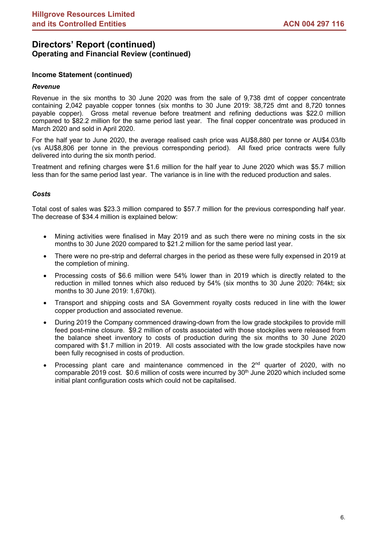### **Income Statement (continued)**

### *Revenue*

Revenue in the six months to 30 June 2020 was from the sale of 9,738 dmt of copper concentrate containing 2,042 payable copper tonnes (six months to 30 June 2019: 38,725 dmt and 8,720 tonnes payable copper). Gross metal revenue before treatment and refining deductions was \$22.0 million compared to \$82.2 million for the same period last year. The final copper concentrate was produced in March 2020 and sold in April 2020.

For the half year to June 2020, the average realised cash price was AU\$8,880 per tonne or AU\$4.03/lb (vs AU\$8,806 per tonne in the previous corresponding period). All fixed price contracts were fully delivered into during the six month period.

Treatment and refining charges were \$1.6 million for the half year to June 2020 which was \$5.7 million less than for the same period last year. The variance is in line with the reduced production and sales.

### *Costs*

Total cost of sales was \$23.3 million compared to \$57.7 million for the previous corresponding half year. The decrease of \$34.4 million is explained below:

- Mining activities were finalised in May 2019 and as such there were no mining costs in the six months to 30 June 2020 compared to \$21.2 million for the same period last year.
- There were no pre-strip and deferral charges in the period as these were fully expensed in 2019 at the completion of mining.
- Processing costs of \$6.6 million were 54% lower than in 2019 which is directly related to the reduction in milled tonnes which also reduced by 54% (six months to 30 June 2020: 764kt; six months to 30 June 2019: 1,670kt).
- Transport and shipping costs and SA Government royalty costs reduced in line with the lower copper production and associated revenue.
- During 2019 the Company commenced drawing-down from the low grade stockpiles to provide mill feed post-mine closure. \$9.2 million of costs associated with those stockpiles were released from the balance sheet inventory to costs of production during the six months to 30 June 2020 compared with \$1.7 million in 2019. All costs associated with the low grade stockpiles have now been fully recognised in costs of production.
- Processing plant care and maintenance commenced in the  $2<sup>nd</sup>$  quarter of 2020, with no comparable 2019 cost.  $$0.6$  million of costs were incurred by  $30<sup>th</sup>$  June 2020 which included some initial plant configuration costs which could not be capitalised.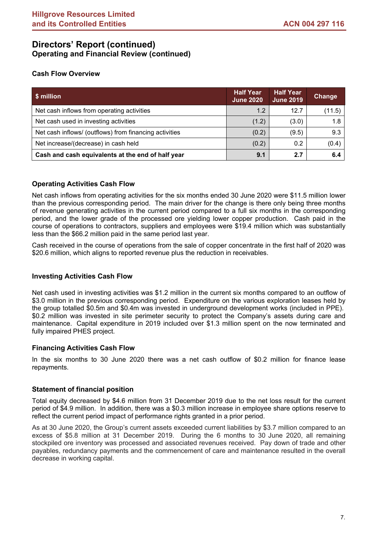### **Cash Flow Overview**

| \$ million                                             | <b>Half Year</b><br><b>June 2020</b> | <b>Half Year</b><br><b>June 2019</b> | Change |
|--------------------------------------------------------|--------------------------------------|--------------------------------------|--------|
| Net cash inflows from operating activities             | 1.2                                  | 12.7                                 | (11.5) |
| Net cash used in investing activities                  | (1.2)                                | (3.0)                                | 1.8    |
| Net cash inflows/ (outflows) from financing activities | (0.2)                                | (9.5)                                | 9.3    |
| Net increase/(decrease) in cash held                   | (0.2)                                | 0.2                                  | (0.4)  |
| Cash and cash equivalents at the end of half year      | 9.1                                  | 2.7                                  | 6.4    |

### **Operating Activities Cash Flow**

Net cash inflows from operating activities for the six months ended 30 June 2020 were \$11.5 million lower than the previous corresponding period. The main driver for the change is there only being three months of revenue generating activities in the current period compared to a full six months in the corresponding period, and the lower grade of the processed ore yielding lower copper production. Cash paid in the course of operations to contractors, suppliers and employees were \$19.4 million which was substantially less than the \$66.2 million paid in the same period last year.

Cash received in the course of operations from the sale of copper concentrate in the first half of 2020 was \$20.6 million, which aligns to reported revenue plus the reduction in receivables.

### **Investing Activities Cash Flow**

Net cash used in investing activities was \$1.2 million in the current six months compared to an outflow of \$3.0 million in the previous corresponding period. Expenditure on the various exploration leases held by the group totalled \$0.5m and \$0.4m was invested in underground development works (included in PPE). \$0.2 million was invested in site perimeter security to protect the Company's assets during care and maintenance. Capital expenditure in 2019 included over \$1.3 million spent on the now terminated and fully impaired PHES project.

### **Financing Activities Cash Flow**

In the six months to 30 June 2020 there was a net cash outflow of \$0.2 million for finance lease repayments.

### **Statement of financial position**

Total equity decreased by \$4.6 million from 31 December 2019 due to the net loss result for the current period of \$4.9 million. In addition, there was a \$0.3 million increase in employee share options reserve to reflect the current period impact of performance rights granted in a prior period.

As at 30 June 2020, the Group's current assets exceeded current liabilities by \$3.7 million compared to an excess of \$5.8 million at 31 December 2019. During the 6 months to 30 June 2020, all remaining stockpiled ore inventory was processed and associated revenues received. Pay down of trade and other payables, redundancy payments and the commencement of care and maintenance resulted in the overall decrease in working capital.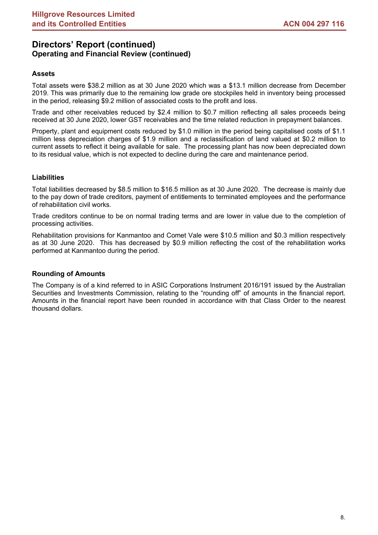### **Assets**

Total assets were \$38.2 million as at 30 June 2020 which was a \$13.1 million decrease from December 2019. This was primarily due to the remaining low grade ore stockpiles held in inventory being processed in the period, releasing \$9.2 million of associated costs to the profit and loss.

Trade and other receivables reduced by \$2.4 million to \$0.7 million reflecting all sales proceeds being received at 30 June 2020, lower GST receivables and the time related reduction in prepayment balances.

Property, plant and equipment costs reduced by \$1.0 million in the period being capitalised costs of \$1.1 million less depreciation charges of \$1.9 million and a reclassification of land valued at \$0.2 million to current assets to reflect it being available for sale. The processing plant has now been depreciated down to its residual value, which is not expected to decline during the care and maintenance period.

### **Liabilities**

Total liabilities decreased by \$8.5 million to \$16.5 million as at 30 June 2020. The decrease is mainly due to the pay down of trade creditors, payment of entitlements to terminated employees and the performance of rehabilitation civil works.

Trade creditors continue to be on normal trading terms and are lower in value due to the completion of processing activities.

Rehabilitation provisions for Kanmantoo and Comet Vale were \$10.5 million and \$0.3 million respectively as at 30 June 2020. This has decreased by \$0.9 million reflecting the cost of the rehabilitation works performed at Kanmantoo during the period.

### **Rounding of Amounts**

The Company is of a kind referred to in ASIC Corporations Instrument 2016/191 issued by the Australian Securities and Investments Commission, relating to the "rounding off" of amounts in the financial report. Amounts in the financial report have been rounded in accordance with that Class Order to the nearest thousand dollars.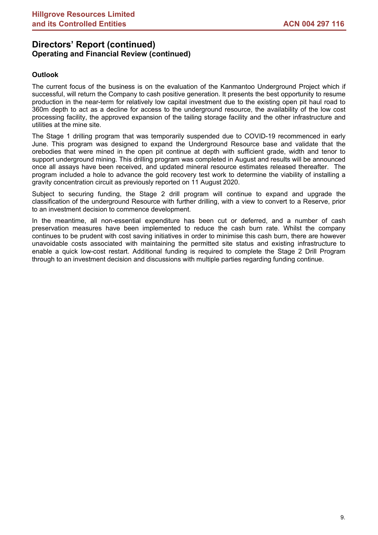### **Outlook**

The current focus of the business is on the evaluation of the Kanmantoo Underground Project which if successful, will return the Company to cash positive generation. It presents the best opportunity to resume production in the near-term for relatively low capital investment due to the existing open pit haul road to 360m depth to act as a decline for access to the underground resource, the availability of the low cost processing facility, the approved expansion of the tailing storage facility and the other infrastructure and utilities at the mine site.

The Stage 1 drilling program that was temporarily suspended due to COVID-19 recommenced in early June. This program was designed to expand the Underground Resource base and validate that the orebodies that were mined in the open pit continue at depth with sufficient grade, width and tenor to support underground mining. This drilling program was completed in August and results will be announced once all assays have been received, and updated mineral resource estimates released thereafter. The program included a hole to advance the gold recovery test work to determine the viability of installing a gravity concentration circuit as previously reported on 11 August 2020.

Subject to securing funding, the Stage 2 drill program will continue to expand and upgrade the classification of the underground Resource with further drilling, with a view to convert to a Reserve, prior to an investment decision to commence development.

In the meantime, all non-essential expenditure has been cut or deferred, and a number of cash preservation measures have been implemented to reduce the cash burn rate. Whilst the company continues to be prudent with cost saving initiatives in order to minimise this cash burn, there are however unavoidable costs associated with maintaining the permitted site status and existing infrastructure to enable a quick low-cost restart. Additional funding is required to complete the Stage 2 Drill Program through to an investment decision and discussions with multiple parties regarding funding continue.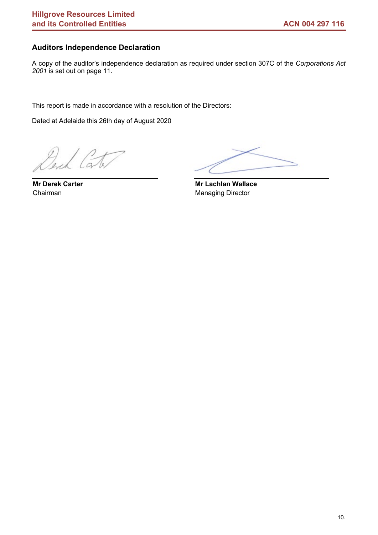## **Auditors Independence Declaration**

A copy of the auditor's independence declaration as required under section 307C of the *Corporations Act 2001* is set out on page 11.

This report is made in accordance with a resolution of the Directors:

Dated at Adelaide this 26th day of August 2020

 $\frac{1}{2}$ 

**Mr Derek Carter** Chairman

 **Mr Lachlan Wallace** Managing Director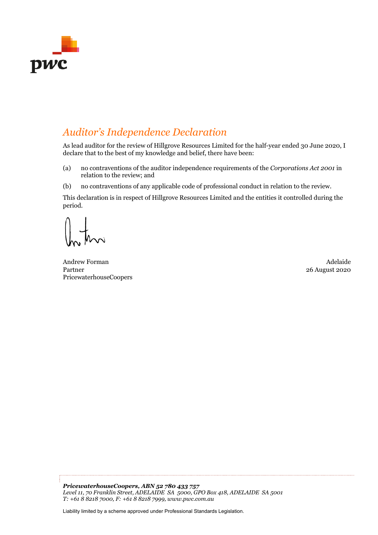

# *Auditor's Independence Declaration*

As lead auditor for the review of Hillgrove Resources Limited for the half-year ended 30 June 2020, I declare that to the best of my knowledge and belief, there have been:

- (a) no contraventions of the auditor independence requirements of the *Corporations Act 2001* in relation to the review; and
- (b) no contraventions of any applicable code of professional conduct in relation to the review.

This declaration is in respect of Hillgrove Resources Limited and the entities it controlled during the period.

Andrew Forman Adelaide Partner PricewaterhouseCoopers

26 August 2020

*PricewaterhouseCoopers, ABN 52 780 433 757 Level 11, 70 Franklin Street, ADELAIDE SA 5000, GPO Box 418, ADELAIDE SA 5001 T: +61 8 8218 7000, F: +61 8 8218 7999, www.pwc.com.au* 

Liability limited by a scheme approved under Professional Standards Legislation.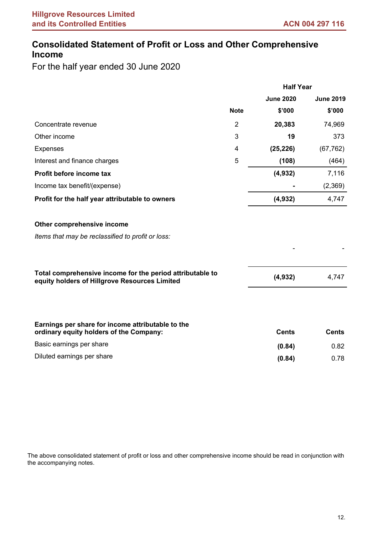# **Consolidated Statement of Profit or Loss and Other Comprehensive Income**

For the half year ended 30 June 2020

|                                                                                                            |                | <b>Half Year</b> |                  |
|------------------------------------------------------------------------------------------------------------|----------------|------------------|------------------|
|                                                                                                            |                | <b>June 2020</b> | <b>June 2019</b> |
|                                                                                                            | <b>Note</b>    | \$'000           | \$'000           |
| Concentrate revenue                                                                                        | $\overline{2}$ | 20,383           | 74,969           |
| Other income                                                                                               | 3              | 19               | 373              |
| <b>Expenses</b>                                                                                            | 4              | (25, 226)        | (67, 762)        |
| Interest and finance charges                                                                               | 5              | (108)            | (464)            |
| Profit before income tax                                                                                   |                | (4, 932)         | 7,116            |
| Income tax benefit/(expense)                                                                               |                |                  | (2,369)          |
| Profit for the half year attributable to owners                                                            |                | (4,932)          | 4,747            |
| Other comprehensive income                                                                                 |                |                  |                  |
| Items that may be reclassified to profit or loss:                                                          |                |                  |                  |
|                                                                                                            |                |                  |                  |
| Total comprehensive income for the period attributable to<br>equity holders of Hillgrove Resources Limited |                | (4, 932)         | 4,747            |
|                                                                                                            |                |                  |                  |
| Earnings per share for income attributable to the<br>ordinary equity holders of the Company:               |                | <b>Cents</b>     | <b>Cents</b>     |
| Basic earnings per share                                                                                   |                | (0.84)           | 0.82             |
| Diluted earnings per share                                                                                 |                | (0.84)           | 0.78             |
|                                                                                                            |                |                  |                  |

The above consolidated statement of profit or loss and other comprehensive income should be read in conjunction with the accompanying notes.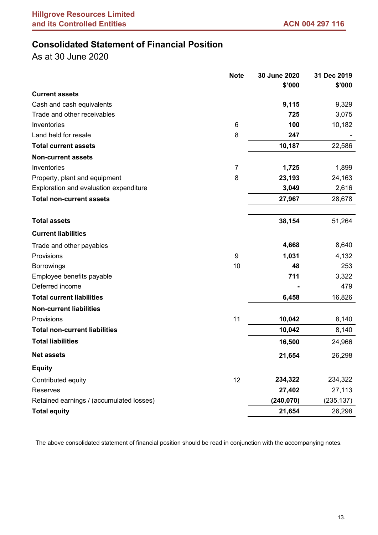# **Consolidated Statement of Financial Position**

As at 30 June 2020

|                                          |                |            | 31 Dec 2019 |
|------------------------------------------|----------------|------------|-------------|
|                                          |                | \$'000     | \$'000      |
| <b>Current assets</b>                    |                |            |             |
| Cash and cash equivalents                |                | 9,115      | 9,329       |
| Trade and other receivables              |                | 725        | 3,075       |
| Inventories                              | 6              | 100        | 10,182      |
| Land held for resale                     | 8              | 247        |             |
| <b>Total current assets</b>              |                | 10,187     | 22,586      |
| <b>Non-current assets</b>                |                |            |             |
| Inventories                              | $\overline{7}$ | 1,725      | 1,899       |
| Property, plant and equipment            | 8              | 23,193     | 24,163      |
| Exploration and evaluation expenditure   |                | 3,049      | 2,616       |
| <b>Total non-current assets</b>          |                | 27,967     | 28,678      |
|                                          |                |            |             |
| <b>Total assets</b>                      |                | 38,154     | 51,264      |
| <b>Current liabilities</b>               |                |            |             |
| Trade and other payables                 |                | 4,668      | 8,640       |
| Provisions                               | 9              | 1,031      | 4,132       |
| <b>Borrowings</b>                        | 10             | 48         | 253         |
| Employee benefits payable                |                | 711        | 3,322       |
| Deferred income                          |                |            | 479         |
| <b>Total current liabilities</b>         |                | 6,458      | 16,826      |
| <b>Non-current liabilities</b>           |                |            |             |
| Provisions                               | 11             | 10,042     | 8,140       |
| <b>Total non-current liabilities</b>     |                | 10,042     | 8,140       |
| <b>Total liabilities</b>                 |                | 16,500     | 24,966      |
| <b>Net assets</b>                        |                | 21,654     | 26,298      |
| <b>Equity</b>                            |                |            |             |
| Contributed equity                       | 12             | 234,322    | 234,322     |
| Reserves                                 |                | 27,402     | 27,113      |
| Retained earnings / (accumulated losses) |                | (240, 070) | (235, 137)  |
| <b>Total equity</b>                      |                | 21,654     | 26,298      |

The above consolidated statement of financial position should be read in conjunction with the accompanying notes.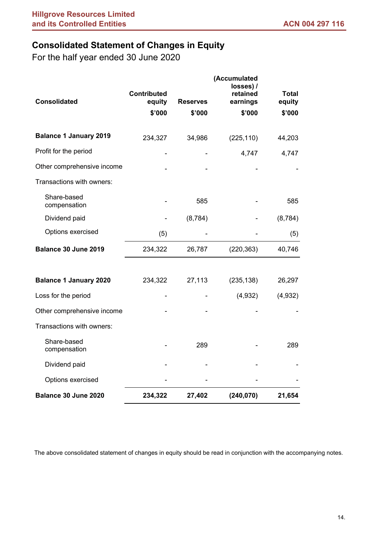# **Consolidated Statement of Changes in Equity**

For the half year ended 30 June 2020

| <b>Consolidated</b>           | <b>Contributed</b><br>equity | <b>Reserves</b> | (Accumulated<br>losses) /<br>retained<br>earnings | <b>Total</b><br>equity |
|-------------------------------|------------------------------|-----------------|---------------------------------------------------|------------------------|
|                               | \$'000                       | \$'000          | \$'000                                            | \$'000                 |
| <b>Balance 1 January 2019</b> | 234,327                      | 34,986          | (225, 110)                                        | 44,203                 |
| Profit for the period         |                              |                 | 4,747                                             | 4,747                  |
| Other comprehensive income    |                              |                 |                                                   |                        |
| Transactions with owners:     |                              |                 |                                                   |                        |
| Share-based<br>compensation   |                              | 585             |                                                   | 585                    |
| Dividend paid                 |                              | (8, 784)        |                                                   | (8, 784)               |
| Options exercised             | (5)                          |                 |                                                   | (5)                    |
| Balance 30 June 2019          | 234,322                      | 26,787          | (220, 363)                                        | 40,746                 |
|                               |                              |                 |                                                   |                        |
| <b>Balance 1 January 2020</b> | 234,322                      | 27,113          | (235, 138)                                        | 26,297                 |
| Loss for the period           |                              |                 | (4,932)                                           | (4,932)                |
| Other comprehensive income    |                              |                 |                                                   |                        |
| Transactions with owners:     |                              |                 |                                                   |                        |
| Share-based<br>compensation   |                              | 289             |                                                   | 289                    |
| Dividend paid                 |                              |                 |                                                   |                        |
| Options exercised             |                              |                 |                                                   |                        |
| Balance 30 June 2020          | 234,322                      | 27,402          | (240, 070)                                        | 21,654                 |

The above consolidated statement of changes in equity should be read in conjunction with the accompanying notes.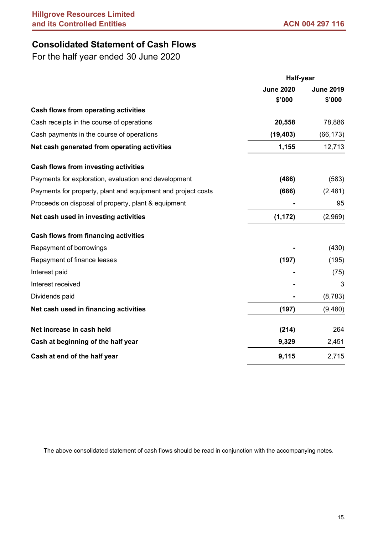# **Consolidated Statement of Cash Flows**

For the half year ended 30 June 2020

|                                                              | <b>Half-year</b> |                  |
|--------------------------------------------------------------|------------------|------------------|
|                                                              | <b>June 2020</b> | <b>June 2019</b> |
|                                                              | \$'000           | \$'000           |
| <b>Cash flows from operating activities</b>                  |                  |                  |
| Cash receipts in the course of operations                    | 20,558           | 78,886           |
| Cash payments in the course of operations                    | (19, 403)        | (66, 173)        |
| Net cash generated from operating activities                 | 1,155            | 12,713           |
| <b>Cash flows from investing activities</b>                  |                  |                  |
| Payments for exploration, evaluation and development         | (486)            | (583)            |
| Payments for property, plant and equipment and project costs | (686)            | (2,481)          |
| Proceeds on disposal of property, plant & equipment          |                  | 95               |
| Net cash used in investing activities                        | (1, 172)         | (2,969)          |
| <b>Cash flows from financing activities</b>                  |                  |                  |
| Repayment of borrowings                                      |                  | (430)            |
| Repayment of finance leases                                  | (197)            | (195)            |
| Interest paid                                                |                  | (75)             |
| Interest received                                            |                  | 3                |
| Dividends paid                                               |                  | (8,783)          |
| Net cash used in financing activities                        | (197)            | (9,480)          |
| Net increase in cash held                                    | (214)            | 264              |
| Cash at beginning of the half year                           | 9,329            | 2,451            |
| Cash at end of the half year                                 | 9,115            | 2,715            |

The above consolidated statement of cash flows should be read in conjunction with the accompanying notes.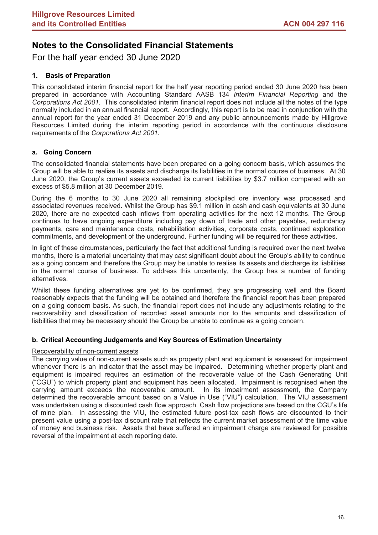For the half year ended 30 June 2020

### **1. Basis of Preparation**

This consolidated interim financial report for the half year reporting period ended 30 June 2020 has been prepared in accordance with Accounting Standard AASB 134 *Interim Financial Reporting* and the *Corporations Act 2001*. This consolidated interim financial report does not include all the notes of the type normally included in an annual financial report. Accordingly, this report is to be read in conjunction with the annual report for the year ended 31 December 2019 and any public announcements made by Hillgrove Resources Limited during the interim reporting period in accordance with the continuous disclosure requirements of the *Corporations Act 2001*.

### **a. Going Concern**

The consolidated financial statements have been prepared on a going concern basis, which assumes the Group will be able to realise its assets and discharge its liabilities in the normal course of business. At 30 June 2020, the Group's current assets exceeded its current liabilities by \$3.7 million compared with an excess of \$5.8 million at 30 December 2019.

During the 6 months to 30 June 2020 all remaining stockpiled ore inventory was processed and associated revenues received. Whilst the Group has \$9.1 million in cash and cash equivalents at 30 June 2020, there are no expected cash inflows from operating activities for the next 12 months. The Group continues to have ongoing expenditure including pay down of trade and other payables, redundancy payments, care and maintenance costs, rehabilitation activities, corporate costs, continued exploration commitments, and development of the underground. Further funding will be required for these activities.

In light of these circumstances, particularly the fact that additional funding is required over the next twelve months, there is a material uncertainty that may cast significant doubt about the Group's ability to continue as a going concern and therefore the Group may be unable to realise its assets and discharge its liabilities in the normal course of business. To address this uncertainty, the Group has a number of funding alternatives.

Whilst these funding alternatives are yet to be confirmed, they are progressing well and the Board reasonably expects that the funding will be obtained and therefore the financial report has been prepared on a going concern basis. As such, the financial report does not include any adjustments relating to the recoverability and classification of recorded asset amounts nor to the amounts and classification of liabilities that may be necessary should the Group be unable to continue as a going concern.

### **b. Critical Accounting Judgements and Key Sources of Estimation Uncertainty**

### Recoverability of non-current assets

The carrying value of non-current assets such as property plant and equipment is assessed for impairment whenever there is an indicator that the asset may be impaired. Determining whether property plant and equipment is impaired requires an estimation of the recoverable value of the Cash Generating Unit ("CGU") to which property plant and equipment has been allocated. Impairment is recognised when the carrying amount exceeds the recoverable amount. In its impairment assessment, the Company determined the recoverable amount based on a Value in Use ("VIU") calculation. The VIU assessment was undertaken using a discounted cash flow approach. Cash flow projections are based on the CGU's life of mine plan. In assessing the VIU, the estimated future post-tax cash flows are discounted to their present value using a post-tax discount rate that reflects the current market assessment of the time value of money and business risk. Assets that have suffered an impairment charge are reviewed for possible reversal of the impairment at each reporting date.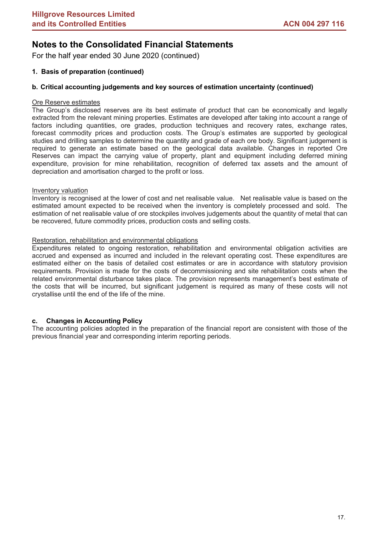For the half year ended 30 June 2020 (continued)

### **1. Basis of preparation (continued)**

### **b. Critical accounting judgements and key sources of estimation uncertainty (continued)**

### Ore Reserve estimates

The Group's disclosed reserves are its best estimate of product that can be economically and legally extracted from the relevant mining properties. Estimates are developed after taking into account a range of factors including quantities, ore grades, production techniques and recovery rates, exchange rates, forecast commodity prices and production costs. The Group's estimates are supported by geological studies and drilling samples to determine the quantity and grade of each ore body. Significant judgement is required to generate an estimate based on the geological data available. Changes in reported Ore Reserves can impact the carrying value of property, plant and equipment including deferred mining expenditure, provision for mine rehabilitation, recognition of deferred tax assets and the amount of depreciation and amortisation charged to the profit or loss.

### Inventory valuation

Inventory is recognised at the lower of cost and net realisable value. Net realisable value is based on the estimated amount expected to be received when the inventory is completely processed and sold. The estimation of net realisable value of ore stockpiles involves judgements about the quantity of metal that can be recovered, future commodity prices, production costs and selling costs.

### Restoration, rehabilitation and environmental obligations

Expenditures related to ongoing restoration, rehabilitation and environmental obligation activities are accrued and expensed as incurred and included in the relevant operating cost. These expenditures are estimated either on the basis of detailed cost estimates or are in accordance with statutory provision requirements. Provision is made for the costs of decommissioning and site rehabilitation costs when the related environmental disturbance takes place. The provision represents management's best estimate of the costs that will be incurred, but significant judgement is required as many of these costs will not crystallise until the end of the life of the mine.

### **c. Changes in Accounting Policy**

The accounting policies adopted in the preparation of the financial report are consistent with those of the previous financial year and corresponding interim reporting periods.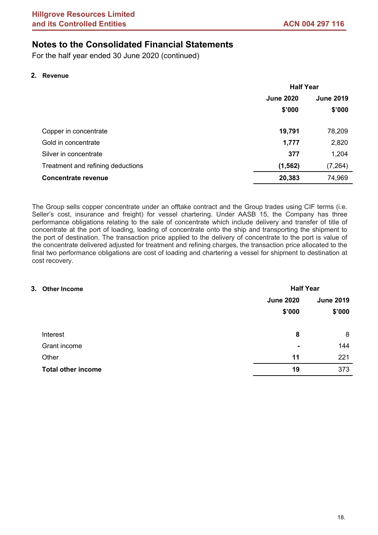For the half year ended 30 June 2020 (continued)

### **2. Revenue**

|                                   | <b>Half Year</b>                     |          |  |
|-----------------------------------|--------------------------------------|----------|--|
|                                   | <b>June 2020</b><br><b>June 2019</b> |          |  |
|                                   | \$'000                               | \$'000   |  |
| Copper in concentrate             | 19,791                               | 78,209   |  |
| Gold in concentrate               | 1,777                                | 2,820    |  |
| Silver in concentrate             | 377                                  | 1,204    |  |
| Treatment and refining deductions | (1, 562)                             | (7, 264) |  |
| <b>Concentrate revenue</b>        | 20,383                               | 74,969   |  |
|                                   |                                      |          |  |

The Group sells copper concentrate under an offtake contract and the Group trades using CIF terms (i.e. Seller's cost, insurance and freight) for vessel chartering. Under AASB 15, the Company has three performance obligations relating to the sale of concentrate which include delivery and transfer of title of concentrate at the port of loading, loading of concentrate onto the ship and transporting the shipment to the port of destination. The transaction price applied to the delivery of concentrate to the port is value of the concentrate delivered adjusted for treatment and refining charges, the transaction price allocated to the final two performance obligations are cost of loading and chartering a vessel for shipment to destination at cost recovery.

| 3. Other Income |                           |                  | <b>Half Year</b> |  |  |
|-----------------|---------------------------|------------------|------------------|--|--|
|                 |                           | <b>June 2020</b> | <b>June 2019</b> |  |  |
|                 |                           | \$'000           | \$'000           |  |  |
|                 | Interest                  | 8                | 8                |  |  |
|                 | Grant income              | $\blacksquare$   | 144              |  |  |
|                 | Other                     | 11               | 221              |  |  |
|                 | <b>Total other income</b> | 19               | 373              |  |  |
|                 |                           |                  |                  |  |  |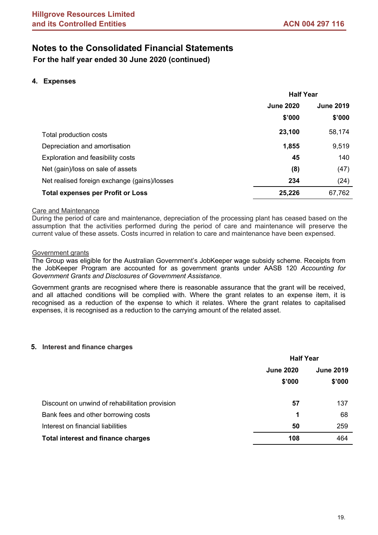**For the half year ended 30 June 2020 (continued)**

### **4. Expenses**

|                                              | <b>Half Year</b> |                  |  |
|----------------------------------------------|------------------|------------------|--|
|                                              | <b>June 2020</b> | <b>June 2019</b> |  |
|                                              | \$'000           | \$'000           |  |
| Total production costs                       | 23,100           | 58,174           |  |
| Depreciation and amortisation                | 1,855            | 9,519            |  |
| Exploration and feasibility costs            | 45               | 140              |  |
| Net (gain)/loss on sale of assets            | (8)              | (47)             |  |
| Net realised foreign exchange (gains)/losses | 234              | (24)             |  |
| <b>Total expenses per Profit or Loss</b>     | 25,226           | 67,762           |  |

### **Care and Maintenance**

During the period of care and maintenance, depreciation of the processing plant has ceased based on the assumption that the activities performed during the period of care and maintenance will preserve the current value of these assets. Costs incurred in relation to care and maintenance have been expensed.

### Government grants

The Group was eligible for the Australian Government's JobKeeper wage subsidy scheme. Receipts from the JobKeeper Program are accounted for as government grants under AASB 120 *Accounting for Government Grants and Disclosures of Government Assistance*.

Government grants are recognised where there is reasonable assurance that the grant will be received, and all attached conditions will be complied with. Where the grant relates to an expense item, it is recognised as a reduction of the expense to which it relates. Where the grant relates to capitalised expenses, it is recognised as a reduction to the carrying amount of the related asset.

### **5. Interest and finance charges**

|                                                | <b>Half Year</b>                     |        |  |
|------------------------------------------------|--------------------------------------|--------|--|
|                                                | <b>June 2020</b><br><b>June 2019</b> |        |  |
|                                                | \$'000                               | \$'000 |  |
| Discount on unwind of rehabilitation provision | 57                                   | 137    |  |
| Bank fees and other borrowing costs            | 1                                    | 68     |  |
| Interest on financial liabilities              | 50                                   | 259    |  |
| <b>Total interest and finance charges</b>      | 108                                  | 464    |  |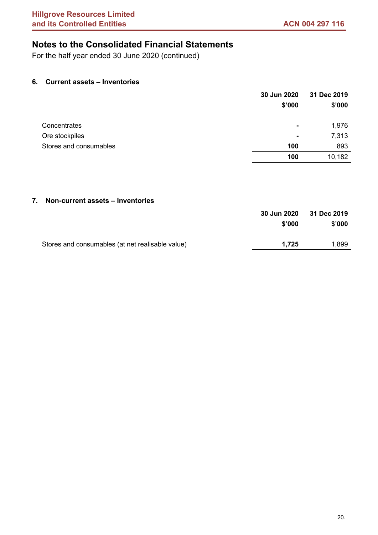For the half year ended 30 June 2020 (continued)

### **6. Current assets – Inventories**

|                        | 30 Jun 2020 | 31 Dec 2019 |
|------------------------|-------------|-------------|
|                        | \$'000      | \$'000      |
|                        |             |             |
| Concentrates           | ۰           | 1,976       |
| Ore stockpiles         | ۰           | 7,313       |
| Stores and consumables | 100         | 893         |
|                        | 100         | 10,182      |

### **7. Non-current assets – Inventories**

|                                                  | 30 Jun 2020 | 31 Dec 2019 |
|--------------------------------------------------|-------------|-------------|
|                                                  | \$'000      | \$'000      |
| Stores and consumables (at net realisable value) | 1.725       | 1,899       |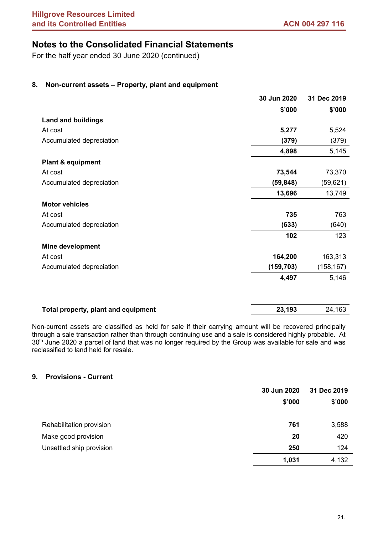For the half year ended 30 June 2020 (continued)

### **8. Non-current assets – Property, plant and equipment**

|                                     | 30 Jun 2020 | 31 Dec 2019 |
|-------------------------------------|-------------|-------------|
|                                     | \$'000      | \$'000      |
| <b>Land and buildings</b>           |             |             |
| At cost                             | 5,277       | 5,524       |
| Accumulated depreciation            | (379)       | (379)       |
|                                     | 4,898       | 5,145       |
| <b>Plant &amp; equipment</b>        |             |             |
| At cost                             | 73,544      | 73,370      |
| Accumulated depreciation            | (59, 848)   | (59, 621)   |
|                                     | 13,696      | 13,749      |
| <b>Motor vehicles</b>               |             |             |
| At cost                             | 735         | 763         |
| Accumulated depreciation            | (633)       | (640)       |
|                                     | 102         | 123         |
| <b>Mine development</b>             |             |             |
| At cost                             | 164,200     | 163,313     |
| Accumulated depreciation            | (159, 703)  | (158, 167)  |
|                                     | 4,497       | 5,146       |
|                                     |             |             |
| Total property, plant and equipment | 23,193      | 24,163      |

Non-current assets are classified as held for sale if their carrying amount will be recovered principally through a sale transaction rather than through continuing use and a sale is considered highly probable. At 30<sup>th</sup> June 2020 a parcel of land that was no longer required by the Group was available for sale and was reclassified to land held for resale.

### **9. Provisions - Current**

|                          | 30 Jun 2020 | 31 Dec 2019 |
|--------------------------|-------------|-------------|
|                          | \$'000      | \$'000      |
|                          |             |             |
| Rehabilitation provision | 761         | 3,588       |
| Make good provision      | 20          | 420         |
| Unsettled ship provision | 250         | 124         |
|                          | 1,031       | 4,132       |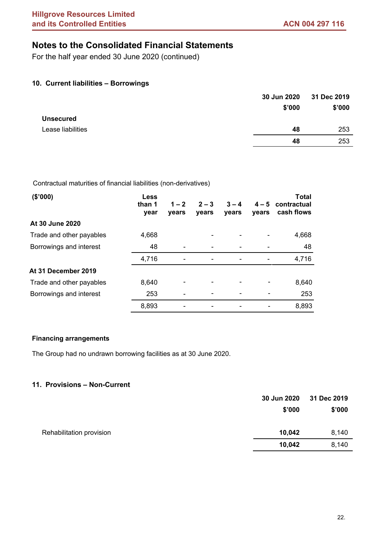For the half year ended 30 June 2020 (continued)

### **10. Current liabilities – Borrowings**

|                   | 30 Jun 2020 | 31 Dec 2019 |
|-------------------|-------------|-------------|
|                   | \$'000      | \$'000      |
| <b>Unsecured</b>  |             |             |
| Lease liabilities | 48          | 253         |
|                   | 48          | 253         |
|                   |             |             |

Contractual maturities of financial liabilities (non-derivatives)

| (\$'000)                 | <b>Less</b><br>than 1<br>year | $1 - 2$<br>years | $2 - 3$<br>years | $3 - 4$<br>years | $4 - 5$<br>vears | <b>Total</b><br>contractual<br>cash flows |
|--------------------------|-------------------------------|------------------|------------------|------------------|------------------|-------------------------------------------|
| At 30 June 2020          |                               |                  |                  |                  |                  |                                           |
| Trade and other payables | 4,668                         |                  |                  |                  |                  | 4,668                                     |
| Borrowings and interest  | 48                            |                  |                  |                  |                  | 48                                        |
|                          | 4,716                         |                  |                  |                  |                  | 4,716                                     |
| At 31 December 2019      |                               |                  |                  |                  |                  |                                           |
| Trade and other payables | 8,640                         |                  |                  |                  |                  | 8,640                                     |
| Borrowings and interest  | 253                           |                  |                  |                  |                  | 253                                       |
|                          | 8,893                         |                  |                  |                  |                  | 8,893                                     |

### **Financing arrangements**

The Group had no undrawn borrowing facilities as at 30 June 2020.

### **11. Provisions – Non-Current**

|                          | 30 Jun 2020 | 31 Dec 2019 |
|--------------------------|-------------|-------------|
|                          | \$'000      | \$'000      |
| Rehabilitation provision | 10,042      | 8,140       |
|                          | 10,042      | 8,140       |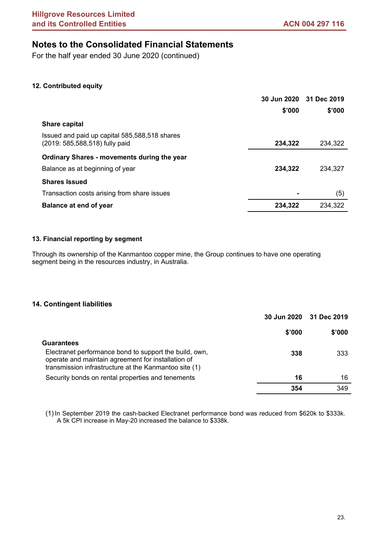For the half year ended 30 June 2020 (continued)

### **12. Contributed equity**

|                                                                                 |         | 30 Jun 2020 31 Dec 2019 |
|---------------------------------------------------------------------------------|---------|-------------------------|
|                                                                                 | \$'000  | \$'000                  |
| <b>Share capital</b>                                                            |         |                         |
| Issued and paid up capital 585,588,518 shares<br>(2019: 585,588,518) fully paid | 234,322 | 234,322                 |
| Ordinary Shares - movements during the year                                     |         |                         |
| Balance as at beginning of year                                                 | 234,322 | 234,327                 |
| <b>Shares Issued</b>                                                            |         |                         |
| Transaction costs arising from share issues                                     |         | (5)                     |
| <b>Balance at end of year</b>                                                   | 234,322 | 234,322                 |

### **13. Financial reporting by segment**

Through its ownership of the Kanmantoo copper mine, the Group continues to have one operating segment being in the resources industry, in Australia.

### **14. Contingent liabilities**

|                                                                                                                                                                       |        | 30 Jun 2020 31 Dec 2019 |
|-----------------------------------------------------------------------------------------------------------------------------------------------------------------------|--------|-------------------------|
|                                                                                                                                                                       | \$'000 | \$'000                  |
| <b>Guarantees</b>                                                                                                                                                     |        |                         |
| Electranet performance bond to support the build, own,<br>operate and maintain agreement for installation of<br>transmission infrastructure at the Kanmantoo site (1) | 338    | 333                     |
| Security bonds on rental properties and tenements                                                                                                                     | 16     | 16                      |
|                                                                                                                                                                       | 354    | 349                     |

(1) In September 2019 the cash-backed Electranet performance bond was reduced from \$620k to \$333k. A 5k CPI increase in May-20 increased the balance to \$338k.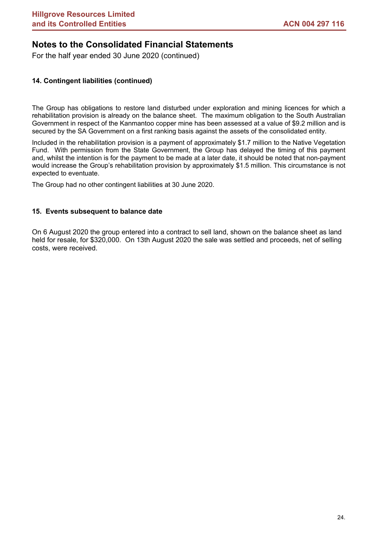For the half year ended 30 June 2020 (continued)

### **14. Contingent liabilities (continued)**

The Group has obligations to restore land disturbed under exploration and mining licences for which a rehabilitation provision is already on the balance sheet. The maximum obligation to the South Australian Government in respect of the Kanmantoo copper mine has been assessed at a value of \$9.2 million and is secured by the SA Government on a first ranking basis against the assets of the consolidated entity.

Included in the rehabilitation provision is a payment of approximately \$1.7 million to the Native Vegetation Fund. With permission from the State Government, the Group has delayed the timing of this payment and, whilst the intention is for the payment to be made at a later date, it should be noted that non-payment would increase the Group's rehabilitation provision by approximately \$1.5 million. This circumstance is not expected to eventuate.

The Group had no other contingent liabilities at 30 June 2020.

### **15. Events subsequent to balance date**

On 6 August 2020 the group entered into a contract to sell land, shown on the balance sheet as land held for resale, for \$320,000. On 13th August 2020 the sale was settled and proceeds, net of selling costs, were received.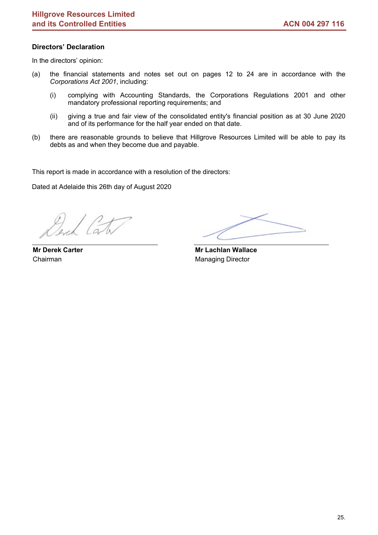### **Directors' Declaration**

In the directors' opinion:

- (a) the financial statements and notes set out on pages 12 to 24 are in accordance with the *Corporations Act 2001*, including:
	- (i) complying with Accounting Standards, the Corporations Regulations 2001 and other mandatory professional reporting requirements; and
	- (ii) giving a true and fair view of the consolidated entity's financial position as at 30 June 2020 and of its performance for the half year ended on that date.
- (b) there are reasonable grounds to believe that Hillgrove Resources Limited will be able to pay its debts as and when they become due and payable.

This report is made in accordance with a resolution of the directors:

Dated at Adelaide this 26th day of August 2020

**Mr Derek Carter** Chairman

 **Mr Lachlan Wallace** Managing Director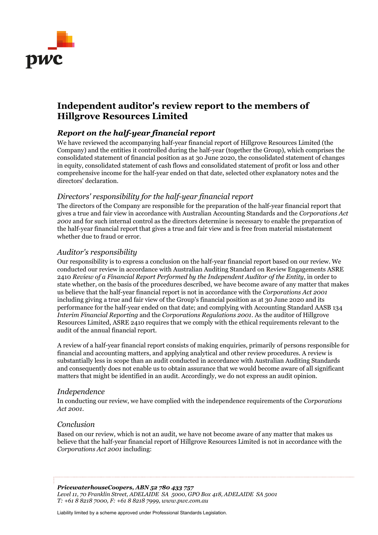

# **Independent auditor's review report to the members of Hillgrove Resources Limited**

## *Report on the half-year financial report*

We have reviewed the accompanying half-year financial report of Hillgrove Resources Limited (the Company) and the entities it controlled during the half-year (together the Group), which comprises the consolidated statement of financial position as at 30 June 2020, the consolidated statement of changes in equity, consolidated statement of cash flows and consolidated statement of profit or loss and other comprehensive income for the half-year ended on that date, selected other explanatory notes and the directors' declaration.

### *Directors' responsibility for the half-year financial report*

The directors of the Company are responsible for the preparation of the half-year financial report that gives a true and fair view in accordance with Australian Accounting Standards and the *Corporations Act 2001* and for such internal control as the directors determine is necessary to enable the preparation of the half-year financial report that gives a true and fair view and is free from material misstatement whether due to fraud or error.

### *Auditor's responsibility*

Our responsibility is to express a conclusion on the half-year financial report based on our review. We conducted our review in accordance with Australian Auditing Standard on Review Engagements ASRE 2410 *Review of a Financial Report Performed by the Independent Auditor of the Entity*, in order to state whether, on the basis of the procedures described, we have become aware of any matter that makes us believe that the half-year financial report is not in accordance with the *Corporations Act 2001* including giving a true and fair view of the Group's financial position as at 30 June 2020 and its performance for the half-year ended on that date; and complying with Accounting Standard AASB 134 *Interim Financial Reporting* and the *Corporations Regulations 2001*. As the auditor of Hillgrove Resources Limited, ASRE 2410 requires that we comply with the ethical requirements relevant to the audit of the annual financial report.

A review of a half-year financial report consists of making enquiries, primarily of persons responsible for financial and accounting matters, and applying analytical and other review procedures. A review is substantially less in scope than an audit conducted in accordance with Australian Auditing Standards and consequently does not enable us to obtain assurance that we would become aware of all significant matters that might be identified in an audit. Accordingly, we do not express an audit opinion.

### *Independence*

In conducting our review, we have complied with the independence requirements of the *Corporations Act 2001*.

### *Conclusion*

Based on our review, which is not an audit, we have not become aware of any matter that makes us believe that the half-year financial report of Hillgrove Resources Limited is not in accordance with the *Corporations Act 2001* including:

*PricewaterhouseCoopers, ABN 52 780 433 757 Level 11, 70 Franklin Street, ADELAIDE SA 5000, GPO Box 418, ADELAIDE SA 5001 T: +61 8 8218 7000, F: +61 8 8218 7999, www.pwc.com.au* 

Liability limited by a scheme approved under Professional Standards Legislation.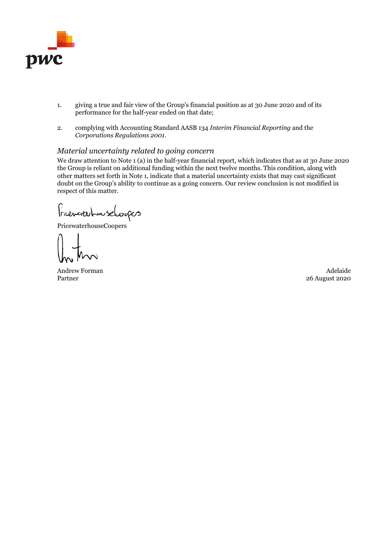

- 1. giving a true and fair view of the Group's financial position as at 30 June 2020 and of its performance for the half-year ended on that date;
- 2. complying with Accounting Standard AASB 134 *Interim Financial Reporting* and the *Corporations Regulations 2001*.

### *Material uncertainty related to going concern*

We draw attention to Note 1 (a) in the half-year financial report, which indicates that as at 30 June 2020 the Group is reliant on additional funding within the next twelve months. This condition, along with other matters set forth in Note 1, indicate that a material uncertainty exists that may cast significant doubt on the Group's ability to continue as a going concern. Our review conclusion is not modified in respect of this matter.

FriencriterhouseLoopers

PricewaterhouseCoopers

Andrew Forman Adelaide and the South of the South Adelaide Adelaide and Adelaide Partner

26 August 2020